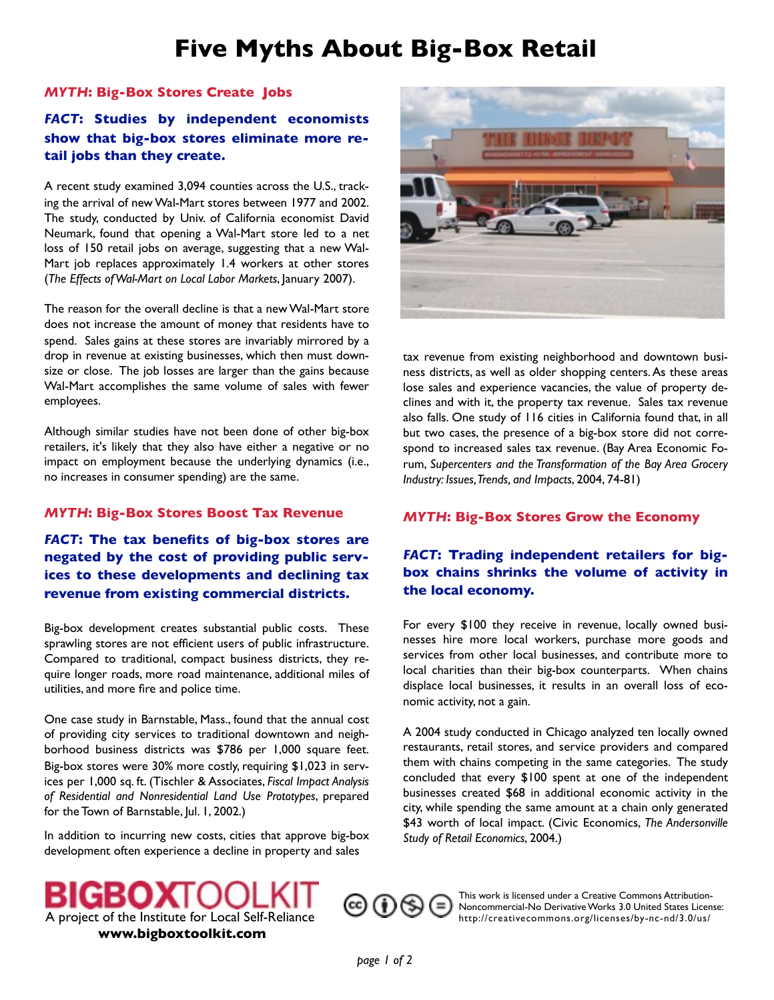# **Five Myths About Big-Box Retail**

#### *MYTH***: Big-Box Stores Create Jobs**

# *FACT***: Studies by independent economists show that big-box stores eliminate more retail jobs than they create.**

A recent study examined 3,094 counties across the U.S., tracking the arrival of new Wal-Mart stores between 1977 and 2002. The study, conducted by Univ. of California economist David Neumark, found that opening a Wal-Mart store led to a net loss of 150 retail jobs on average, suggesting that a new Wal-Mart job replaces approximately 1.4 workers at other stores (*The Effects of Wal-Mart on Local Labor Markets*, January 2007).

The reason for the overall decline is that a new Wal-Mart store does not increase the amount of money that residents have to spend. Sales gains at these stores are invariably mirrored by a drop in revenue at existing businesses, which then must downsize or close. The job losses are larger than the gains because Wal-Mart accomplishes the same volume of sales with fewer employees.

Although similar studies have not been done of other big-box retailers, it's likely that they also have either a negative or no impact on employment because the underlying dynamics (i.e., no increases in consumer spending) are the same.

#### *MYTH***: Big-Box Stores Boost Tax Revenue**

*FACT***: The tax benefits of big-box stores are negated by the cost of providing public services to these developments and declining tax revenue from existing commercial districts.**

Big-box development creates substantial public costs. These sprawling stores are not efficient users of public infrastructure. Compared to traditional, compact business districts, they require longer roads, more road maintenance, additional miles of utilities, and more fire and police time.

One case study in Barnstable, Mass., found that the annual cost of providing city services to traditional downtown and neighborhood business districts was \$786 per 1,000 square feet. Big-box stores were 30% more costly, requiring \$1,023 in services per 1,000 sq. ft. (Tischler & Associates, *Fiscal Impact Analysis of Residential and Nonresidential Land Use Prototypes*, prepared for the Town of Barnstable, Jul. 1, 2002.)

In addition to incurring new costs, cities that approve big-box development often experience a decline in property and sales



tax revenue from existing neighborhood and downtown business districts, as well as older shopping centers. As these areas lose sales and experience vacancies, the value of property declines and with it, the property tax revenue. Sales tax revenue also falls. One study of 116 cities in California found that, in all but two cases, the presence of a big-box store did not correspond to increased sales tax revenue. (Bay Area Economic Forum, *Supercenters and the Transformation of the Bay Area Grocery Industry: Issues, Trends, and Impacts*, 2004, 74-81)

### *MYTH***: Big-Box Stores Grow the Economy**

## *FACT***: Trading independent retailers for bigbox chains shrinks the volume of activity in the local economy.**

For every \$100 they receive in revenue, locally owned businesses hire more local workers, purchase more goods and services from other local businesses, and contribute more to local charities than their big-box counterparts. When chains displace local businesses, it results in an overall loss of economic activity, not a gain.

A 2004 study conducted in Chicago analyzed ten locally owned restaurants, retail stores, and service providers and compared them with chains competing in the same categories. The study concluded that every \$100 spent at one of the independent businesses created \$68 in additional economic activity in the city, while spending the same amount at a chain only generated \$43 worth of local impact. (Civic Economics, *The Andersonville Study of Retail Economics*, 2004.)



֎⊕֍

This work is licensed under a Creative Commons Attribution-Noncommercial-No Derivative Works 3.0 United States License: <http://creativecommons.org/licenses/by-nc-nd/3.0/us/>